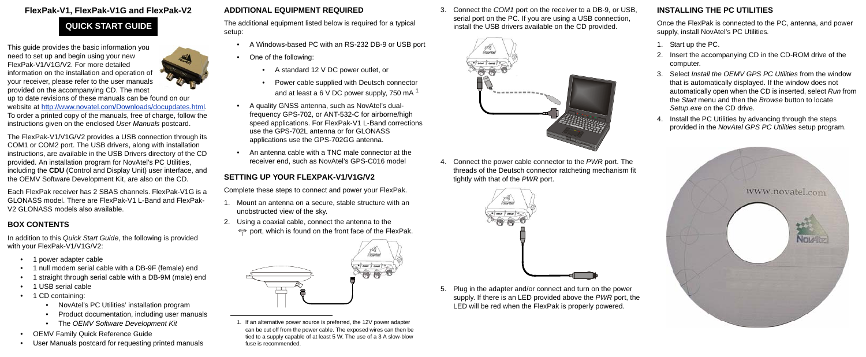# **FlexPak-V1, FlexPak-V1G and FlexPak-V2**

This guide provides the basic information you need to set up and begin using your new FlexPak-V1/V1G/V2. For more detailed information on the installation and operation of [your receiver, please refer to the user manuals](http://www.novatel.com/Downloads/docupdates.html)  provided on the accompanying CD. The most



[up to date revisions of these manuals can be found on our](http://www.novatel.com/Downloads/docupdates.html)  [website at h](http://www.novatel.com/Downloads/docupdates.html)ttp://www.novatel.com/Downloads/docupdates.html. To order a printed copy of the manuals, free of charge, follow the instructions given on the enclosed *User Manuals* postcard.

In addition to this *Quick Start Guide*, the following is provided with your FlexPak-V1/V1G/V2:

The FlexPak-V1/V1G/V2 provides a USB connection through its COM1 or COM2 port. The USB drivers, along with installation instructions, are available in the USB Drivers directory of the CD provided. An installation program for NovAtel's PC Utilities, including the **CDU** (Control and Display Unit) user interface, and the OEMV Software Development Kit, are also on the CD*.*

Each FlexPak receiver has 2 SBAS channels. FlexPak-V1G is a GLONASS model. There are FlexPak-V1 L-Band and FlexPak-V2 GLONASS models also available.

# **BOX CONTENTS**

- 1. Mount an antenna on a secure, stable structure with an unobstructed view of the sky.
- 2. Using a coaxial cable, connect the antenna to the  $\Rightarrow$  port, which is found on the front face of the FlexPak.

- 1 power adapter cable
- 1 null modem serial cable with a DB-9F (female) end
- 1 straight through serial cable with a DB-9M (male) end
- 1 USB serial cable
- 1 CD containing:
	- NovAtel's PC Utilities' installation program
	- Product documentation, including user manuals
	- The *OEMV Software Development Kit*
- OEMV Family Quick Reference Guide
- User Manuals postcard for requesting printed manuals

## **ADDITIONAL EQUIPMENT REQUIRED**

The additional equipment listed below is required for a typical setup:

- A Windows-based PC with an RS-232 DB-9 or USB port
- One of the following:
	- A standard 12 V DC power outlet, or
	- Power cable supplied with Deutsch connector and at least a 6 V DC power supply, 750 mA  $<sup>1</sup>$ </sup>
- A quality GNSS antenna, such as NovAtel's dualfrequency GPS-702, or ANT-532-C for airborne/high speed applications. For FlexPak-V1 L-Band corrections use the GPS-702L antenna or for GLONASS applications use the GPS-702GG antenna.
- An antenna cable with a TNC male connector at the receiver end, such as NovAtel's GPS-C016 model

# **SETTING UP YOUR FLEXPAK-V1/V1G/V2**

Complete these steps to connect and power your FlexPak.

3. Connect the *COM1* port on the receiver to a DB-9, or USB, serial port on the PC. If you are using a USB connection, install the USB drivers available on the CD provided.



4. Connect the power cable connector to the *PWR* port. The threads of the Deutsch connector ratcheting mechanism fit tightly with that of the *PWR* port.



5. Plug in the adapter and/or connect and turn on the power supply. If there is an LED provided above the *PWR* port, the LED will be red when the FlexPak is properly powered.

# **INSTALLING THE PC UTILITIES**

Once the FlexPak is connected to the PC, antenna, and power supply, install NovAtel's PC Utilities*.*

- 1. Start up the PC.
- 2. Insert the accompanying CD in the CD-ROM drive of the computer.
- 3. Select *Install the OEMV GPS PC Utilities* from the window that is automatically displayed. If the window does not automatically open when the CD is inserted, select *Run* from the *Start* menu and then the *Browse* button to locate *Setup.exe* on the CD drive.
- 4. Install the PC Utilities by advancing through the steps provided in the *NovAtel GPS PC Utilities* setup program.



# **QUICK START GUIDE**



<sup>1.</sup> If an alternative power source is preferred, the 12V power adapter can be cut off from the power cable. The exposed wires can then be tied to a supply capable of at least 5 W. The use of a 3 A slow-blow fuse is recommended.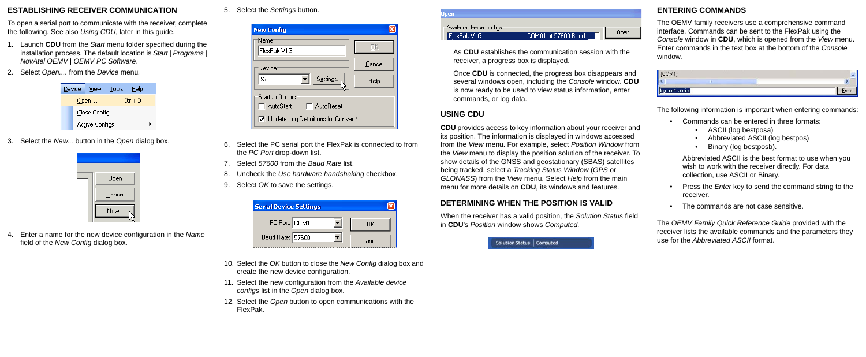#### **ESTABLISHING RECEIVER COMMUNICATION**

To open a serial port to communicate with the receiver, complete the following. See also *Using CDU*, later in this guide.

- 1. Launch **CDU** from the *Start* menu folder specified during the installation process. The default location is *Start | Programs | NovAtel OEMV | OEMV PC Software*.
- 2. Select *Open....* from the *Device* menu*.*

|      | Device | <b>View</b>    | Tools  | Help |  |
|------|--------|----------------|--------|------|--|
| Open |        |                | Ctrl+O |      |  |
|      |        | Close Config   |        |      |  |
|      |        | Active Configs |        |      |  |

3. Select the *New...* button in the *Open* dialog box.



4. Enter a name for the new device configuration in the *Name* field of the *New Config* dialog box.

5. Select the *Settings* button.

| <b>New Config</b>                           |        |  |
|---------------------------------------------|--------|--|
| Name<br>FlexPak-V1G                         |        |  |
| Device                                      | Cancel |  |
| Settings<br>Serial                          | Help   |  |
| Startup Options:<br>□ AutoStart □ AutoReset |        |  |
| □ Update Log Definitions for Convert4       |        |  |

- 6. Select the PC serial port the FlexPak is connected to from the *PC Port* drop-down list.
- 7. Select *57600* from the *Baud Rate* list.
- 8. Uncheck the *Use hardware handshaking* checkbox.
- 9. Select *OK* to save the settings.

| <b>Serial Device Settings</b> |        |
|-------------------------------|--------|
| PC Port: COM1                 |        |
| Baud Rate: 57600              | Cancel |

- 10. Select the *OK* button to close the *New Config* dialog box and create the new device configuration.
- 11. Select the new configuration from the *Available device configs* list in the *Open* dialog box.
- 12. Select the *Open* button to open communications with the FlexPak.

| $\lnot$ Available device configs $\lnot$ |                      |     |
|------------------------------------------|----------------------|-----|
| lexPak-V1G                               | COM01 at 57600 Baud, | Der |

As **CDU** establishes the communication session with the receiver, a progress box is displayed.

Once **CDU** is connected, the progress box disappears and several windows open, including the *Console* window. **CDU** is now ready to be used to view status information, enter commands, or log data.

# **USING CDU**

**CDU** provides access to key information about your receiver and its position. The information is displayed in windows accessed from the *View* menu. For example, select *Position Window* from the *View* menu to display the position solution of the receiver. To show details of the GNSS and geostationary (SBAS) satellites being tracked, select a *Tracking Status Window* (*GPS* or *GLONASS*) from the *View* menu. Select *Help* from the main menu for more details on **CDU**, its windows and features.

## **DETERMINING WHEN THE POSITION IS VALID**

When the receiver has a valid position, the *Solution Status* field in **CDU**'s *Position* window shows *Computed.*

Solution Status | Computed

# **ENTERING COMMANDS**

The OEMV family receivers use a comprehensive command interface. Commands can be sent to the FlexPak using the *Console* window in **CDU**, which is opened from the *View* menu. Enter commands in the text box at the bottom of the *Console* window.



The following information is important when entering commands:

- Commands can be entered in three formats:
	- ASCII (log bestposa)
	- Abbreviated ASCII (log bestpos)
	- Binary (log bestposb).

Abbreviated ASCII is the best format to use when you wish to work with the receiver directly. For data collection, use ASCII or Binary.

- Press the *Enter* key to send the command string to the receiver.
- The commands are not case sensitive.

The *OEMV Family Quick Reference Guide* provided with the receiver lists the available commands and the parameters they use for the *Abbreviated ASCII* format.

- 
-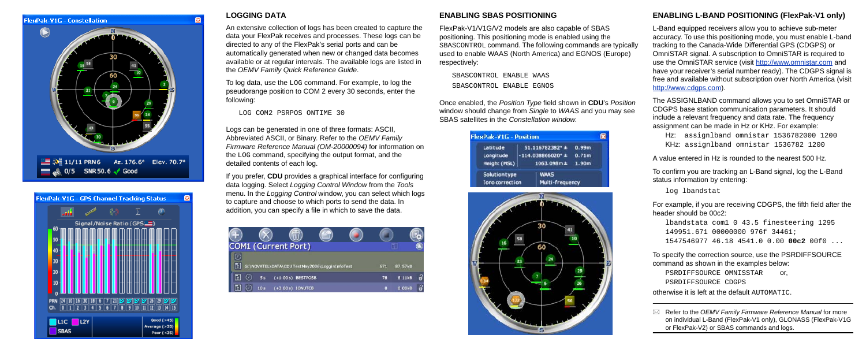



#### **LOGGING DATA**

An extensive collection of logs has been created to capture the data your FlexPak receives and processes. These logs can be directed to any of the FlexPak's serial ports and can be automatically generated when new or changed data becomes available or at regular intervals. The available logs are listed in the *OEMV Family Quick Reference Guide*.

To log data, use the LOG command. For example, to log the pseudorange position to COM 2 every 30 seconds, enter the following:

LOG COM2 PSRPOS ONTIME 30

Logs can be generated in one of three formats: ASCII, Abbreviated ASCII, or Binary. Refer to the *OEMV Family Firmware Reference Manual (OM-20000094)* for information on the LOG command, specifying the output format, and the detailed contents of each log.

L-Band equipped receivers allow you to achieve sub-meter accuracy. To use this positioning mode, you must enable L-band tracking to the Canada-Wide Differential GPS (CDGPS) or OmniSTAR signal. A subscription to OmniSTAR is required to use the OmniSTAR service (visit http://www.omnistar.com and have your receiver's serial number ready). The CDGPS signal is free and available without subscription over North America (visit http://www.cdaps.com).

If you prefer, **CDU** provides a graphical interface for configuring data logging. Select *Logging Control Window* from the *Tools* menu. In the *Logging Control* window, you can select which logs to capture and choose to which ports to send the data. In addition, you can specify a file in which to save the data.



#### **ENABLING SBAS POSITIONING**

FlexPak-V1/V1G/V2 models are also capable of SBAS positioning. This positioning mode is enabled using the SBASCONTROL command. The following commands are typically used to enable WAAS (North America) and EGNOS (Europe) respectively:

SBASCONTROL ENABLE WAAS SBASCONTROL ENABLE EGNOS

Once enabled, the *Position Type* field shown in **CDU**'s *Position* window should change from *Single* to *WAAS* and you may see SBAS satellites in the *Constellation window*.

| <b>FlexPak-V1G - Position</b> |                             |                   |
|-------------------------------|-----------------------------|-------------------|
| Latitude                      | 51.116782382 <sup>°</sup> ± | 0.99m             |
| Longitude                     | $-114.038866020^{\circ}$ ±  | 0.71 <sub>m</sub> |
| Height (MSL)                  | 1063.098m±                  | 1.90m             |
| Solution type                 | <b>WAAS</b>                 |                   |
| <b>Iono correction</b>        | Multi-frequency             |                   |



### **ENABLING L-BAND POSITIONING (FlexPak-V1 only)**

The ASSIGNLBAND command allows you to set OmniSTAR or CDGPS base station communication parameters. It should include a relevant frequency and data rate. The frequency assignment can be made in Hz or KHz. For example:

Hz: assignlband omnistar 1536782000 1200 KHz: assignlband omnistar 1536782 1200

A value entered in Hz is rounded to the nearest 500 Hz.

To confirm you are tracking an L-Band signal, log the L-Band status information by entering:

log lbandstat

For example, if you are receiving CDGPS, the fifth field after the header should be 00c2:

```
lbandstata com1 0 43.5 finesteering 1295
149951.671 00000000 976f 34461; 
1547546977 46.18 4541.0 0.00 00c2 00f0 ...
```
To specify the correction source, use the PSRDIFFSOURCE command as shown in the examples below:

PSRDIFFSOURCE OMNISSTAR or, PSRDIFFSOURCE CDGPS

otherwise it is left at the default AUTOMATIC.

 Refer to the *OEMV Family Firmware Reference Manual* for more on individual L-Band (FlexPak-V1 only), GLONASS (FlexPak-V1G or FlexPak-V2) or SBAS commands and logs.